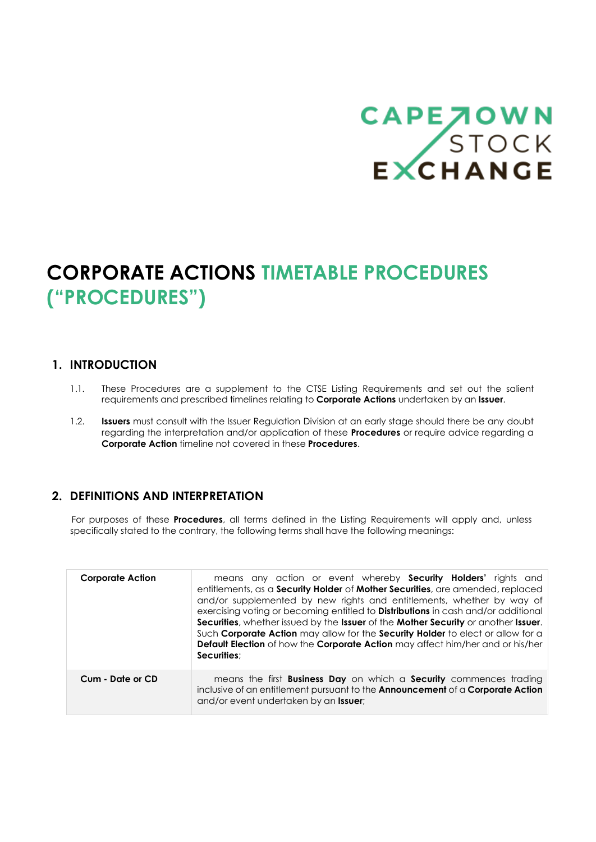# CAPE JOWN<br>STOCK<br>EXCHANGE

# **CORPORATE ACTIONS TIMETABLE PROCEDURES ("PROCEDURES")**

# **1. INTRODUCTION**

- 1.1. These Procedures are a supplement to the CTSE Listing Requirements and set out the salient requirements and prescribed timelines relating to **Corporate Actions** undertaken by an **Issuer**.
- 1.2. **Issuers** must consult with the Issuer Regulation Division at an early stage should there be any doubt regarding the interpretation and/or application of these **Procedures** or require advice regarding a **Corporate Action** timeline not covered in these **Procedures**.

# **2. DEFINITIONS AND INTERPRETATION**

For purposes of these **Procedures**, all terms defined in the Listing Requirements will apply and, unless specifically stated to the contrary, the following terms shall have the following meanings:

| <b>Corporate Action</b> | means any action or event whereby <b>Security Holders'</b> rights and<br>entitlements, as a <b>Security Holder</b> of <b>Mother Securities</b> , are amended, replaced<br>and/or supplemented by new rights and entitlements, whether by way of<br>exercising voting or becoming entitled to <b>Distributions</b> in cash and/or additional<br>Securities, whether issued by the Issuer of the Mother Security or another Issuer.<br>Such Corporate Action may allow for the Security Holder to elect or allow for a<br><b>Default Election</b> of how the <b>Corporate Action</b> may affect him/her and or his/her<br>Securities: |
|-------------------------|-------------------------------------------------------------------------------------------------------------------------------------------------------------------------------------------------------------------------------------------------------------------------------------------------------------------------------------------------------------------------------------------------------------------------------------------------------------------------------------------------------------------------------------------------------------------------------------------------------------------------------------|
| Cum - Date or CD        | means the first <b>Business Day</b> on which a <b>Security</b> commences trading<br>inclusive of an entitlement pursuant to the Announcement of a Corporate Action<br>and/or event undertaken by an <b>Issuer</b> ;                                                                                                                                                                                                                                                                                                                                                                                                                 |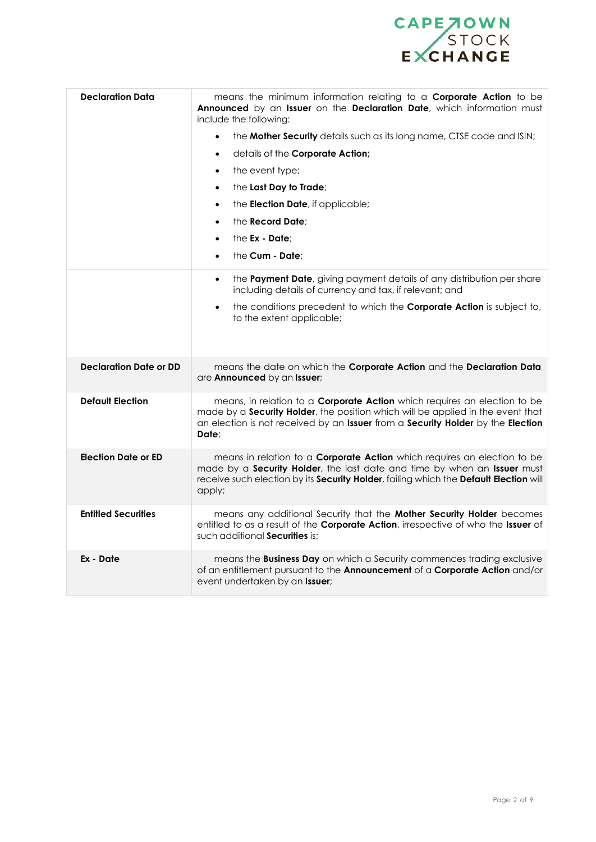

| <b>Declaration Data</b>       | means the minimum information relating to a Corporate Action to be<br>Announced by an Issuer on the Declaration Date, which information must<br>include the following:                                                                                                  |
|-------------------------------|-------------------------------------------------------------------------------------------------------------------------------------------------------------------------------------------------------------------------------------------------------------------------|
|                               | the Mother Security details such as its long name, CTSE code and ISIN;<br>$\bullet$                                                                                                                                                                                     |
|                               | details of the Corporate Action;<br>$\bullet$                                                                                                                                                                                                                           |
|                               | the event type;<br>$\bullet$                                                                                                                                                                                                                                            |
|                               | the Last Day to Trade;<br>$\bullet$                                                                                                                                                                                                                                     |
|                               | the <b>Election Date</b> , if applicable;<br>$\bullet$                                                                                                                                                                                                                  |
|                               | the <b>Record Date:</b><br>$\bullet$                                                                                                                                                                                                                                    |
|                               | the Ex - Date;<br>$\bullet$                                                                                                                                                                                                                                             |
|                               | the Cum - Date;<br>$\bullet$                                                                                                                                                                                                                                            |
|                               | the Payment Date, giving payment details of any distribution per share<br>$\bullet$<br>including details of currency and tax, if relevant; and                                                                                                                          |
|                               | the conditions precedent to which the Corporate Action is subject to,<br>$\bullet$<br>to the extent applicable;                                                                                                                                                         |
| <b>Declaration Date or DD</b> | means the date on which the Corporate Action and the Declaration Data<br>are Announced by an Issuer;                                                                                                                                                                    |
| <b>Default Election</b>       | means, in relation to a <b>Corporate Action</b> which requires an election to be<br>made by a <b>Security Holder</b> , the position which will be applied in the event that<br>an election is not received by an Issuer from a Security Holder by the Election<br>Date: |
| <b>Election Date or ED</b>    | means in relation to a <b>Corporate Action</b> which requires an election to be<br>made by a Security Holder, the last date and time by when an Issuer must<br>receive such election by its Security Holder, failing which the Default Election will<br>apply;          |
| <b>Entitled Securities</b>    | means any additional Security that the Mother Security Holder becomes<br>entitled to as a result of the Corporate Action, irrespective of who the Issuer of<br>such additional <b>Securities</b> is:                                                                    |
| Ex - Date                     | means the <b>Business Day</b> on which a Security commences trading exclusive<br>of an entitlement pursuant to the Announcement of a Corporate Action and/or<br>event undertaken by an Issuer;                                                                          |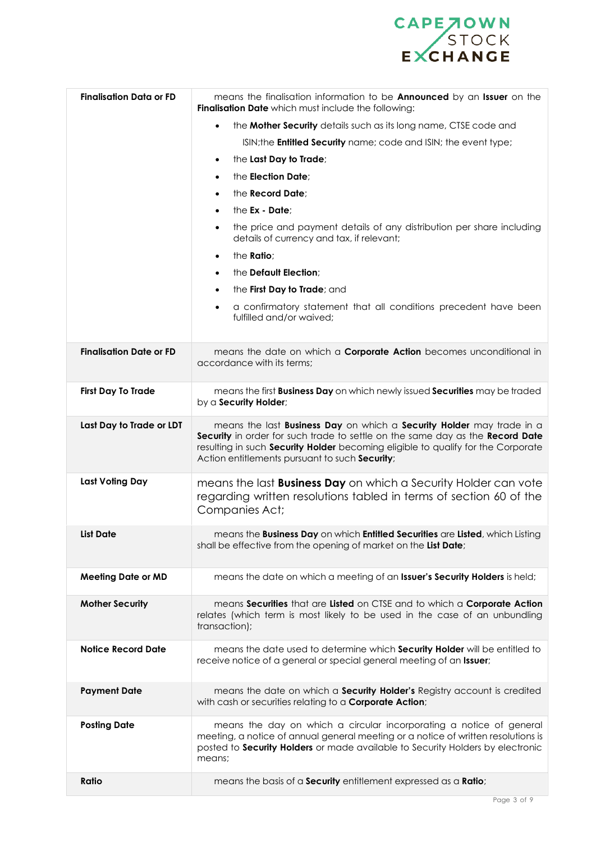

| <b>Finalisation Data or FD</b> | means the finalisation information to be <b>Announced</b> by an Issuer on the<br>Finalisation Date which must include the following:                                                                                                                                                         |  |
|--------------------------------|----------------------------------------------------------------------------------------------------------------------------------------------------------------------------------------------------------------------------------------------------------------------------------------------|--|
|                                | the Mother Security details such as its long name, CTSE code and<br>$\bullet$                                                                                                                                                                                                                |  |
|                                | ISIN; the <b>Entitled Security</b> name; code and ISIN; the event type;                                                                                                                                                                                                                      |  |
|                                | the Last Day to Trade;<br>$\bullet$                                                                                                                                                                                                                                                          |  |
|                                | the Election Date:<br>$\bullet$                                                                                                                                                                                                                                                              |  |
|                                | the <b>Record Date</b> ;<br>$\bullet$                                                                                                                                                                                                                                                        |  |
|                                | the Ex - Date:<br>$\bullet$                                                                                                                                                                                                                                                                  |  |
|                                | the price and payment details of any distribution per share including<br>$\bullet$<br>details of currency and tax, if relevant;                                                                                                                                                              |  |
|                                | the <b>Ratio</b> ;<br>$\bullet$                                                                                                                                                                                                                                                              |  |
|                                | the Default Election;<br>$\bullet$                                                                                                                                                                                                                                                           |  |
|                                | the First Day to Trade; and<br>$\bullet$                                                                                                                                                                                                                                                     |  |
|                                | a confirmatory statement that all conditions precedent have been<br>$\bullet$<br>fulfilled and/or waived;                                                                                                                                                                                    |  |
| <b>Finalisation Date or FD</b> | means the date on which a <b>Corporate Action</b> becomes unconditional in<br>accordance with its terms:                                                                                                                                                                                     |  |
| <b>First Day To Trade</b>      | means the first <b>Business Day</b> on which newly issued <b>Securities</b> may be traded<br>by a Security Holder;                                                                                                                                                                           |  |
| Last Day to Trade or LDT       | means the last Business Day on which a Security Holder may trade in a<br>Security in order for such trade to settle on the same day as the Record Date<br>resulting in such Security Holder becoming eligible to qualify for the Corporate<br>Action entitlements pursuant to such Security; |  |
| Last Voting Day                | means the last <b>Business Day</b> on which a Security Holder can vote<br>regarding written resolutions tabled in terms of section 60 of the<br>Companies Act;                                                                                                                               |  |
| <b>List Date</b>               | means the Business Day on which Entitled Securities are Listed, which Listing<br>shall be effective from the opening of market on the List Date;                                                                                                                                             |  |
| <b>Meeting Date or MD</b>      | means the date on which a meeting of an Issuer's Security Holders is held;                                                                                                                                                                                                                   |  |
| <b>Mother Security</b>         | means Securities that are Listed on CTSE and to which a Corporate Action<br>relates (which term is most likely to be used in the case of an unbundling<br>transaction);                                                                                                                      |  |
| <b>Notice Record Date</b>      | means the date used to determine which Security Holder will be entitled to<br>receive notice of a general or special general meeting of an Issuer;                                                                                                                                           |  |
| <b>Payment Date</b>            | means the date on which a <b>Security Holder's</b> Registry account is credited<br>with cash or securities relating to a Corporate Action;                                                                                                                                                   |  |
| <b>Posting Date</b>            | means the day on which a circular incorporating a notice of general<br>meeting, a notice of annual general meeting or a notice of written resolutions is<br>posted to Security Holders or made available to Security Holders by electronic<br>means;                                         |  |
| Ratio                          | means the basis of a Security entitlement expressed as a Ratio;                                                                                                                                                                                                                              |  |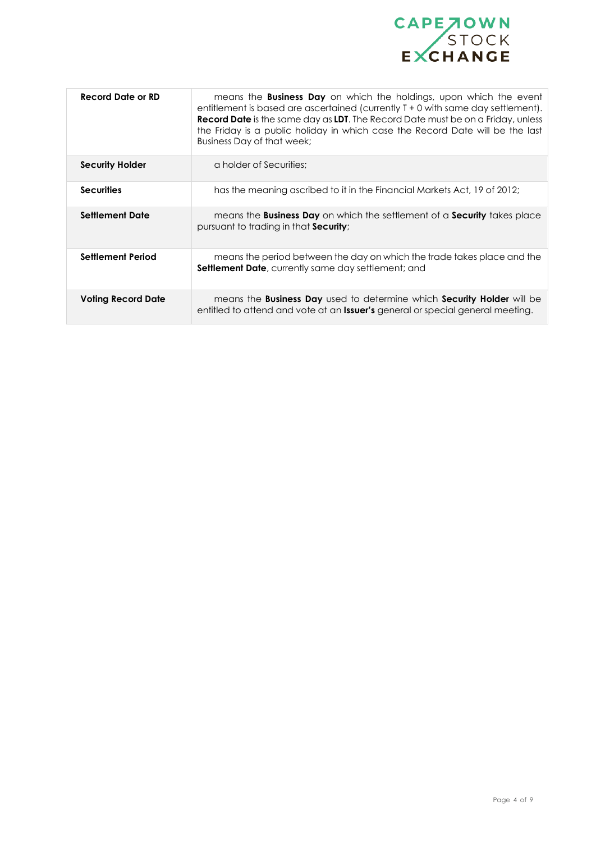

| <b>Record Date or RD</b>  | means the <b>Business Day</b> on which the holdings, upon which the event<br>entitlement is based are ascertained (currently T + 0 with same day settlement).<br>Record Date is the same day as LDT. The Record Date must be on a Friday, unless<br>the Friday is a public holiday in which case the Record Date will be the last<br>Business Day of that week; |
|---------------------------|-----------------------------------------------------------------------------------------------------------------------------------------------------------------------------------------------------------------------------------------------------------------------------------------------------------------------------------------------------------------|
| <b>Security Holder</b>    | a holder of Securities;                                                                                                                                                                                                                                                                                                                                         |
| <b>Securities</b>         | has the meaning ascribed to it in the Financial Markets Act, 19 of 2012;                                                                                                                                                                                                                                                                                        |
| <b>Settlement Date</b>    | means the <b>Business Day</b> on which the settlement of a <b>Security</b> takes place<br>pursuant to trading in that <b>Security</b> ;                                                                                                                                                                                                                         |
| <b>Settlement Period</b>  | means the period between the day on which the trade takes place and the<br><b>Settlement Date</b> , currently same day settlement; and                                                                                                                                                                                                                          |
| <b>Voting Record Date</b> | means the <b>Business Day</b> used to determine which <b>Security Holder</b> will be<br>entitled to attend and vote at an <b>Issuer's</b> general or special general meeting.                                                                                                                                                                                   |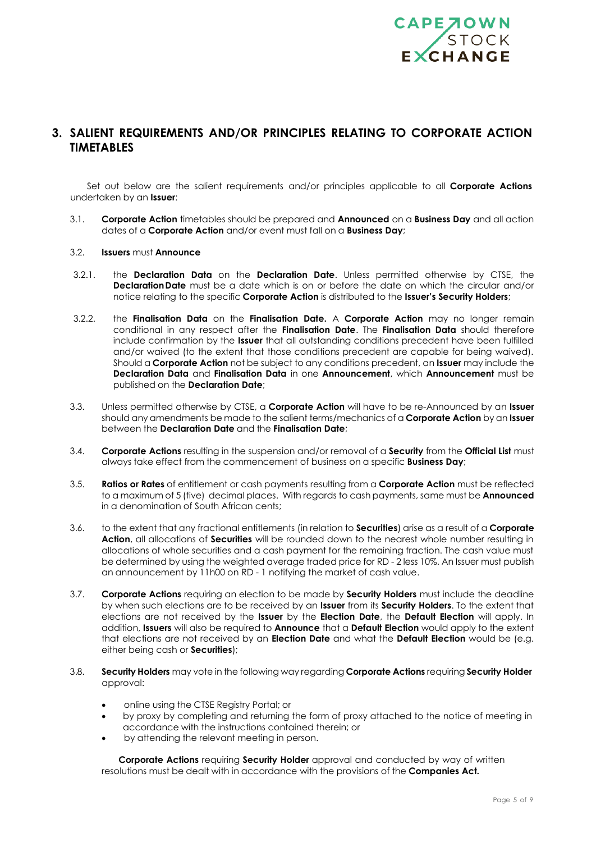

## **3. SALIENT REQUIREMENTS AND/OR PRINCIPLES RELATING TO CORPORATE ACTION TIMETABLES**

Set out below are the salient requirements and/or principles applicable to all **Corporate Actions** undertaken by an **Issuer**:

3.1. **Corporate Action** timetables should be prepared and **Announced** on a **Business Day** and all action dates of a **Corporate Action** and/or event must fall on a **Business Day**;

#### 3.2. **Issuers** must **Announce**

- 3.2.1. the **Declaration Data** on the **Declaration Date**. Unless permitted otherwise by CTSE, the **DeclarationDate** must be a date which is on or before the date on which the circular and/or notice relating to the specific **Corporate Action** is distributed to the **Issuer's Security Holders**;
- 3.2.2. the **Finalisation Data** on the **Finalisation Date.** A **Corporate Action** may no longer remain conditional in any respect after the **Finalisation Date**. The **Finalisation Data** should therefore include confirmation by the **Issuer** that all outstanding conditions precedent have been fulfilled and/or waived (to the extent that those conditions precedent are capable for being waived). Should a **Corporate Action** not be subject to any conditions precedent, an **Issuer** may include the **Declaration Data** and **Finalisation Data** in one **Announcement**, which **Announcement** must be published on the **Declaration Date**;
- 3.3. Unless permitted otherwise by CTSE, a **Corporate Action** will have to be re-Announced by an **Issuer** should any amendments be made to the salient terms/mechanics of a **Corporate Action** by an **Issuer** between the **Declaration Date** and the **Finalisation Date**;
- 3.4. **Corporate Actions** resulting in the suspension and/or removal of a **Security** from the **Official List** must always take effect from the commencement of business on a specific **Business Day**;
- 3.5. **Ratios or Rates** of entitlement or cash payments resulting from a **Corporate Action** must be reflected to a maximum of 5 (five) decimal places. With regards to cash payments, same must be **Announced** in a denomination of South African cents;
- 3.6. to the extent that any fractional entitlements (in relation to **Securities**) arise as a result of a **Corporate Action**, all allocations of **Securities** will be rounded down to the nearest whole number resulting in allocations of whole securities and a cash payment for the remaining fraction. The cash value must be determined by using the weighted average traded price for RD - 2 less 10%. An Issuer must publish an announcement by 11h00 on RD - 1 notifying the market of cash value.
- 3.7. **Corporate Actions** requiring an election to be made by **Security Holders** must include the deadline by when such elections are to be received by an **Issuer** from its **Security Holders**. To the extent that elections are not received by the **Issuer** by the **Election Date**, the **Default Election** will apply. In addition, **Issuers** will also be required to **Announce** that a **Default Election** would apply to the extent that elections are not received by an **Election Date** and what the **Default Election** would be (e.g. either being cash or **Securities**);
- 3.8. **Security Holders** may vote in the following way regarding **Corporate Actions** requiring **Security Holder** approval:
	- online using the CTSE Registry Portal; or
	- by proxy by completing and returning the form of proxy attached to the notice of meeting in accordance with the instructions contained therein; or
	- by attending the relevant meeting in person.

**Corporate Actions** requiring **Security Holder** approval and conducted by way of written resolutions must be dealt with in accordance with the provisions of the **Companies Act.**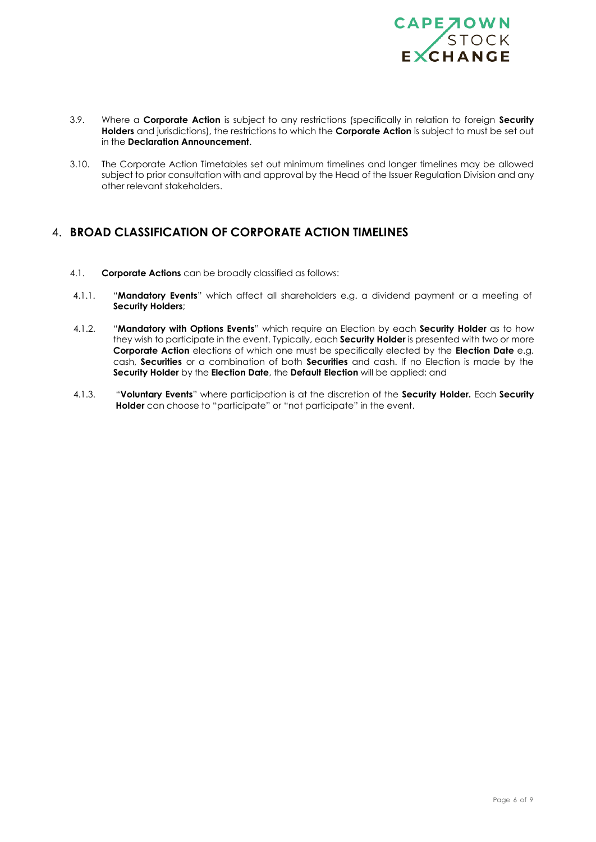

- 3.9. Where a **Corporate Action** is subject to any restrictions (specifically in relation to foreign **Security Holders** and jurisdictions), the restrictions to which the **Corporate Action** is subject to must be set out in the **Declaration Announcement**.
- 3.10. The Corporate Action Timetables set out minimum timelines and longer timelines may be allowed subject to prior consultation with and approval by the Head of the Issuer Regulation Division and any other relevant stakeholders.

### 4. **BROAD CLASSIFICATION OF CORPORATE ACTION TIMELINES**

- 4.1. **Corporate Actions** can be broadly classified as follows:
- 4.1.1. "**Mandatory Events**" which affect all shareholders e.g. a dividend payment or a meeting of **Security Holders**;
- 4.1.2. "**Mandatory with Options Events**" which require an Election by each **Security Holder** as to how they wish to participate in the event. Typically, each **Security Holder** is presented with two or more **Corporate Action** elections of which one must be specifically elected by the **Election Date** e.g. cash, **Securities** or a combination of both **Securities** and cash. If no Election is made by the **Security Holder** by the **Election Date**, the **Default Election** will be applied; and
- 4.1.3. "**Voluntary Events**" where participation is at the discretion of the **Security Holder.** Each **Security Holder** can choose to "participate" or "not participate" in the event.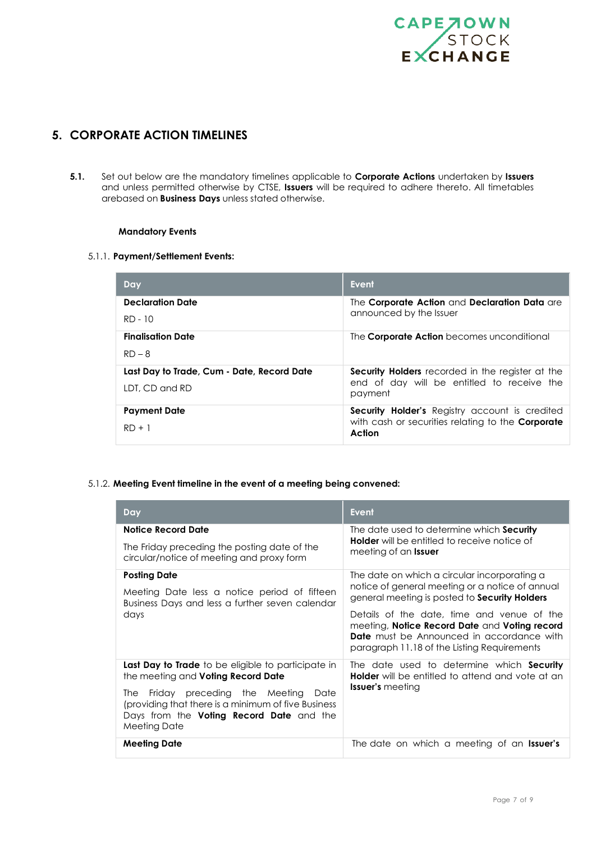

# **5. CORPORATE ACTION TIMELINES**

**5.1.** Set out below are the mandatory timelines applicable to **Corporate Actions** undertaken by **Issuers** and unless permitted otherwise by CTSE, **Issuers** will be required to adhere thereto. All timetables arebased on **Business Days** unless stated otherwise.

#### **Mandatory Events**

#### 5.1.1. **Payment/Settlement Events:**

| Day                                                          | <b>Event</b>                                                                                                         |
|--------------------------------------------------------------|----------------------------------------------------------------------------------------------------------------------|
| <b>Declaration Date</b><br>RD - 10                           | The Corporate Action and Declaration Data are<br>announced by the Issuer                                             |
| <b>Finalisation Date</b><br>$RD - 8$                         | The <b>Corporate Action</b> becomes unconditional                                                                    |
| Last Day to Trade, Cum - Date, Record Date<br>LDT, CD and RD | <b>Security Holders</b> recorded in the register at the<br>end of day will be entitled to receive the<br>payment     |
| <b>Payment Date</b><br>$RD + 1$                              | Security Holder's Registry account is credited<br>with cash or securities relating to the <b>Corporate</b><br>Action |

#### 5.1.2. **Meeting Event timeline in the event of a meeting being convened:**

| Day                                                                                                                                                                  | <b>Event</b>                                                                                                                                                                                   |
|----------------------------------------------------------------------------------------------------------------------------------------------------------------------|------------------------------------------------------------------------------------------------------------------------------------------------------------------------------------------------|
| Notice Record Date                                                                                                                                                   | The date used to determine which Security<br><b>Holder</b> will be entitled to receive notice of<br>meeting of an <b>Issuer</b>                                                                |
| The Friday preceding the posting date of the<br>circular/notice of meeting and proxy form                                                                            |                                                                                                                                                                                                |
| <b>Posting Date</b><br>Meeting Date less a notice period of fifteen<br>Business Days and less a further seven calendar                                               | The date on which a circular incorporating a<br>notice of general meeting or a notice of annual<br>general meeting is posted to <b>Security Holders</b>                                        |
| days                                                                                                                                                                 | Details of the date, time and venue of the<br>meeting, Notice Record Date and Voting record<br><b>Date</b> must be Announced in accordance with<br>paragraph 11.18 of the Listing Requirements |
| <b>Last Day to Trade</b> to be eligible to participate in<br>the meeting and Voting Record Date                                                                      | The date used to determine which <b>Security</b><br><b>Holder</b> will be entitled to attend and vote at an                                                                                    |
| Friday preceding the Meeting Date<br>The 1<br>(providing that there is a minimum of five Business<br>Days from the <b>Voting Record Date</b> and the<br>Meeting Date | <b>Issuer's</b> meeting                                                                                                                                                                        |
| <b>Meeting Date</b>                                                                                                                                                  | The date on which a meeting of an <b>Issuer's</b>                                                                                                                                              |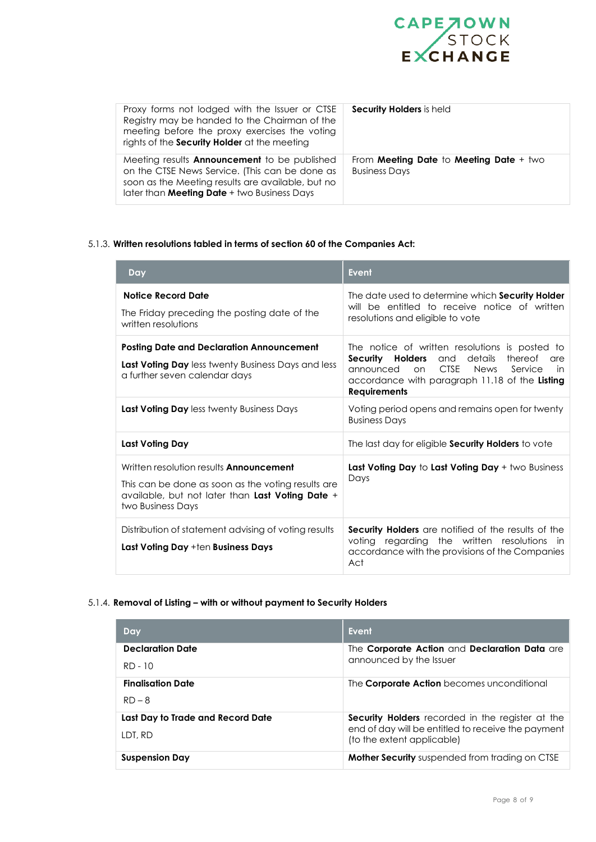

| Proxy forms not lodged with the Issuer or CTSE<br>Registry may be handed to the Chairman of the<br>meeting before the proxy exercises the voting<br>rights of the <b>Security Holder</b> at the meeting   | <b>Security Holders</b> is held                                 |
|-----------------------------------------------------------------------------------------------------------------------------------------------------------------------------------------------------------|-----------------------------------------------------------------|
| Meeting results <b>Announcement</b> to be published<br>on the CTSE News Service. (This can be done as<br>soon as the Meeting results are available, but no<br>later than Meeting Date + two Business Days | From Meeting Date to Meeting Date + two<br><b>Business Days</b> |

#### 5.1.3. **Written resolutions tabled in terms of section 60 of the Companies Act:**

| Day                                                                                                                                                                           | <b>Event</b>                                                                                                                                                                                                                                      |
|-------------------------------------------------------------------------------------------------------------------------------------------------------------------------------|---------------------------------------------------------------------------------------------------------------------------------------------------------------------------------------------------------------------------------------------------|
| <b>Notice Record Date</b><br>The Friday preceding the posting date of the<br>written resolutions                                                                              | The date used to determine which Security Holder<br>will be entitled to receive notice of written<br>resolutions and eligible to vote                                                                                                             |
| <b>Posting Date and Declaration Announcement</b><br><b>Last Voting Day</b> less twenty Business Days and less<br>a further seven calendar days                                | The notice of written resolutions is posted to<br>Security Holders<br>details<br>and<br>thereof<br>are<br><b>CTSE</b><br>announced<br><b>News</b><br>Service<br>on<br>in<br>accordance with paragraph 11.18 of the Listing<br><b>Requirements</b> |
| <b>Last Voting Day</b> less twenty Business Days                                                                                                                              | Voting period opens and remains open for twenty<br><b>Business Days</b>                                                                                                                                                                           |
| Last Voting Day                                                                                                                                                               | The last day for eligible Security Holders to vote                                                                                                                                                                                                |
| Written resolution results <b>Announcement</b><br>This can be done as soon as the voting results are<br>available, but not later than Last Voting Date +<br>two Business Days | <b>Last Voting Day to Last Voting Day + two Business</b><br>Days                                                                                                                                                                                  |
| Distribution of statement advising of voting results<br>Last Voting Day +ten Business Days                                                                                    | <b>Security Holders</b> are notified of the results of the<br>voting regarding the written resolutions<br>in.<br>accordance with the provisions of the Companies<br>Act                                                                           |

#### 5.1.4. **Removal of Listing – with or without payment to Security Holders**

| Day                               | Event                                                                            |
|-----------------------------------|----------------------------------------------------------------------------------|
| <b>Declaration Date</b>           | The Corporate Action and Declaration Data are                                    |
| $RD - 10$                         | announced by the Issuer                                                          |
| <b>Finalisation Date</b>          | The <b>Corporate Action</b> becomes unconditional                                |
| $RD - 8$                          |                                                                                  |
| Last Day to Trade and Record Date | <b>Security Holders</b> recorded in the register at the                          |
| LDT, RD                           | end of day will be entitled to receive the payment<br>(to the extent applicable) |
| <b>Suspension Day</b>             | <b>Mother Security</b> suspended from trading on CTSE                            |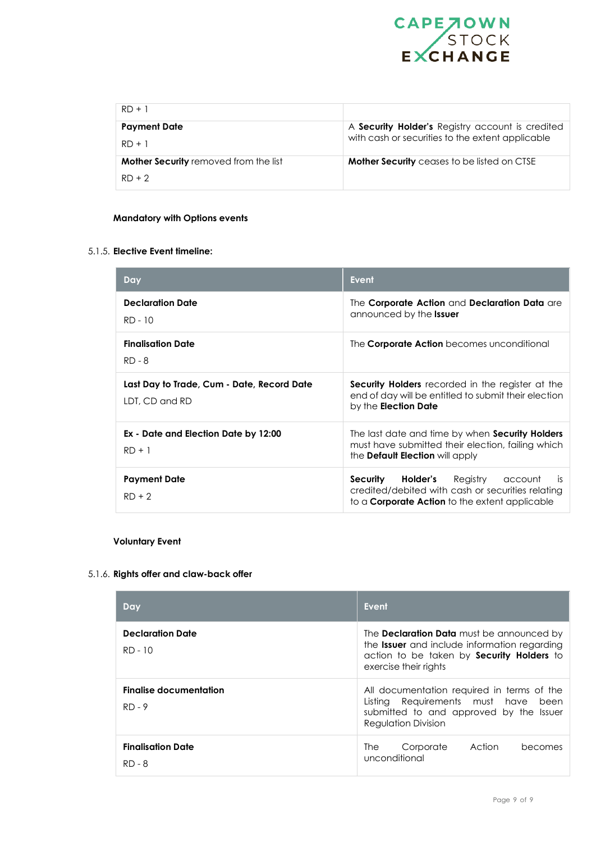

| $RD + 1$                                     |                                                    |
|----------------------------------------------|----------------------------------------------------|
| <b>Payment Date</b>                          | A Security Holder's Registry account is credited   |
| $RD + 1$                                     | with cash or securities to the extent applicable   |
| <b>Mother Security</b> removed from the list | <b>Mother Security</b> ceases to be listed on CTSE |
| $RD + 2$                                     |                                                    |

#### **Mandatory with Options events**

#### 5.1.5. **Elective Event timeline:**

| Day                                                          | <b>Event</b>                                                                                                                                                      |
|--------------------------------------------------------------|-------------------------------------------------------------------------------------------------------------------------------------------------------------------|
| <b>Declaration Date</b><br>$RD - 10$                         | The Corporate Action and Declaration Data are<br>announced by the <b>Issuer</b>                                                                                   |
| <b>Finalisation Date</b><br>$RD - 8$                         | The <b>Corporate Action</b> becomes unconditional                                                                                                                 |
| Last Day to Trade, Cum - Date, Record Date<br>LDT, CD and RD | <b>Security Holders</b> recorded in the register at the<br>end of day will be entitled to submit their election<br>by the <b>Election Date</b>                    |
| Ex - Date and Election Date by 12:00<br>$RD + 1$             | The last date and time by when Security Holders<br>must have submitted their election, failing which<br>the <b>Default Election</b> will apply                    |
| <b>Payment Date</b><br>$RD + 2$                              | <b>Security Holder's</b> Registry<br>account<br>-is<br>credited/debited with cash or securities relating<br>to a <b>Corporate Action</b> to the extent applicable |

#### **Voluntary Event**

#### 5.1.6. **Rights offer and claw-back offer**

| Day                                       | <b>Event</b>                                                                                                                                                                  |
|-------------------------------------------|-------------------------------------------------------------------------------------------------------------------------------------------------------------------------------|
| <b>Declaration Date</b><br>$RD - 10$      | The Declaration Data must be announced by<br>the <b>Issuer</b> and include information regarding<br>action to be taken by <b>Security Holders</b> to<br>exercise their rights |
| <b>Finalise documentation</b><br>$RD - 9$ | All documentation required in terms of the<br>Listing Requirements must have<br>been<br>submitted to and approved by the Issuer<br>Regulation Division                        |
| <b>Finalisation Date</b><br>RD - 8        | Corporate<br>Action<br><b>The</b><br>becomes<br>unconditional                                                                                                                 |